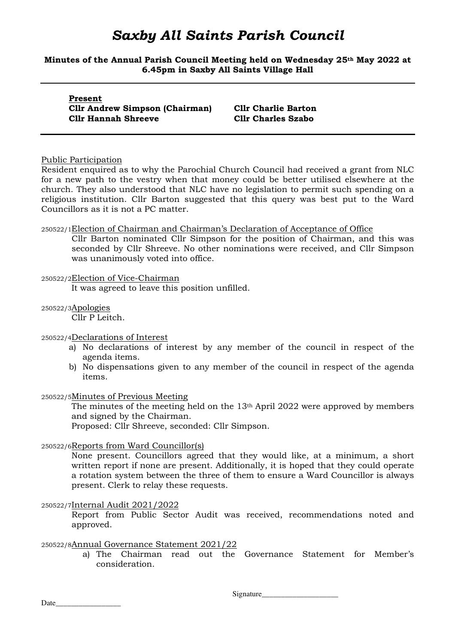**Minutes of the Annual Parish Council Meeting held on Wednesday 25th May 2022 at 6.45pm in Saxby All Saints Village Hall** 

| Present |  |                            |                                       |  |  |  |
|---------|--|----------------------------|---------------------------------------|--|--|--|
|         |  |                            | <b>Cllr Andrew Simpson (Chairman)</b> |  |  |  |
|         |  | <b>Cllr Hannah Shreeve</b> |                                       |  |  |  |

**Cllr Charlie Barton Cllr Charles Szabo** 

#### Public Participation

Resident enquired as to why the Parochial Church Council had received a grant from NLC for a new path to the vestry when that money could be better utilised elsewhere at the church. They also understood that NLC have no legislation to permit such spending on a religious institution. Cllr Barton suggested that this query was best put to the Ward Councillors as it is not a PC matter.

#### 250522/1Election of Chairman and Chairman's Declaration of Acceptance of Office

Cllr Barton nominated Cllr Simpson for the position of Chairman, and this was seconded by Cllr Shreeve. No other nominations were received, and Cllr Simpson was unanimously voted into office.

#### 250522/2Election of Vice-Chairman

It was agreed to leave this position unfilled.

#### 250522/3Apologies

Cllr P Leitch.

#### 250522/4Declarations of Interest

- a) No declarations of interest by any member of the council in respect of the agenda items.
- b) No dispensations given to any member of the council in respect of the agenda items.

#### 250522/5Minutes of Previous Meeting

The minutes of the meeting held on the 13th April 2022 were approved by members and signed by the Chairman.

Proposed: Cllr Shreeve, seconded: Cllr Simpson.

### 250522/6Reports from Ward Councillor(s)

None present. Councillors agreed that they would like, at a minimum, a short written report if none are present. Additionally, it is hoped that they could operate a rotation system between the three of them to ensure a Ward Councillor is always present. Clerk to relay these requests.

#### 250522/7Internal Audit 2021/2022

Report from Public Sector Audit was received, recommendations noted and approved.

#### 250522/8Annual Governance Statement 2021/22

a) The Chairman read out the Governance Statement for Member's consideration.

Signature\_\_\_\_\_\_\_\_\_\_\_\_\_\_\_\_\_\_\_\_

Date  $\frac{1}{\sqrt{1-\frac{1}{2}}\cdot\frac{1}{\sqrt{1-\frac{1}{2}}}}$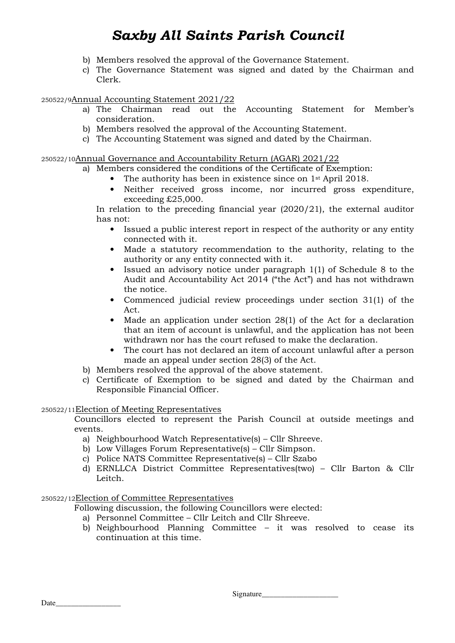- b) Members resolved the approval of the Governance Statement.
- c) The Governance Statement was signed and dated by the Chairman and Clerk.

### 250522/9Annual Accounting Statement 2021/22

- a) The Chairman read out the Accounting Statement for Member's consideration.
- b) Members resolved the approval of the Accounting Statement.
- c) The Accounting Statement was signed and dated by the Chairman.

#### 250522/10Annual Governance and Accountability Return (AGAR) 2021/22

- a) Members considered the conditions of the Certificate of Exemption:
	- The authority has been in existence since on 1<sup>st</sup> April 2018.
	- Neither received gross income, nor incurred gross expenditure, exceeding £25,000.

In relation to the preceding financial year (2020/21), the external auditor has not:

- Issued a public interest report in respect of the authority or any entity connected with it.
- Made a statutory recommendation to the authority, relating to the authority or any entity connected with it.
- Issued an advisory notice under paragraph  $1(1)$  of Schedule 8 to the Audit and Accountability Act 2014 ("the Act") and has not withdrawn the notice.
- Commenced judicial review proceedings under section 31(1) of the Act.
- Made an application under section 28(1) of the Act for a declaration that an item of account is unlawful, and the application has not been withdrawn nor has the court refused to make the declaration.
- The court has not declared an item of account unlawful after a person made an appeal under section 28(3) of the Act.
- b) Members resolved the approval of the above statement.
- c) Certificate of Exemption to be signed and dated by the Chairman and Responsible Financial Officer.

#### 250522/11Election of Meeting Representatives

Councillors elected to represent the Parish Council at outside meetings and events.

- a) Neighbourhood Watch Representative(s) Cllr Shreeve.
- b) Low Villages Forum Representative(s) Cllr Simpson.
- c) Police NATS Committee Representative(s) Cllr Szabo
- d) ERNLLCA District Committee Representatives(two) Cllr Barton & Cllr Leitch.

#### 250522/12Election of Committee Representatives

Following discussion, the following Councillors were elected:

- a) Personnel Committee Cllr Leitch and Cllr Shreeve.
- b) Neighbourhood Planning Committee it was resolved to cease its continuation at this time.

| Signature |
|-----------|
|           |

Date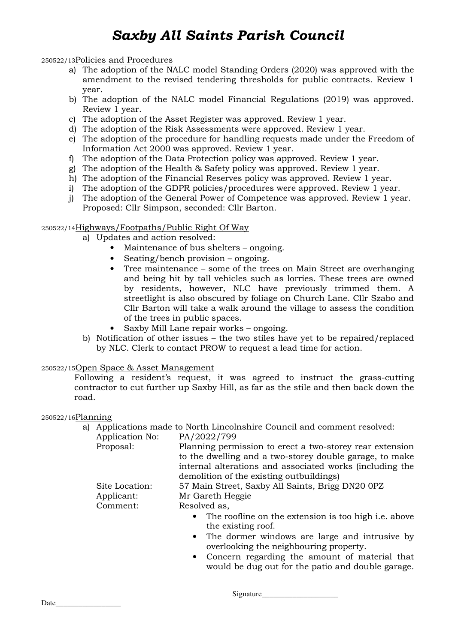250522/13Policies and Procedures

- a) The adoption of the NALC model Standing Orders (2020) was approved with the amendment to the revised tendering thresholds for public contracts. Review 1 year.
- b) The adoption of the NALC model Financial Regulations (2019) was approved. Review 1 year.
- c) The adoption of the Asset Register was approved. Review 1 year.
- d) The adoption of the Risk Assessments were approved. Review 1 year.
- e) The adoption of the procedure for handling requests made under the Freedom of Information Act 2000 was approved. Review 1 year.
- f) The adoption of the Data Protection policy was approved. Review 1 year.
- g) The adoption of the Health & Safety policy was approved. Review 1 year.
- h) The adoption of the Financial Reserves policy was approved. Review 1 year.
- i) The adoption of the GDPR policies/procedures were approved. Review 1 year.
- j) The adoption of the General Power of Competence was approved. Review 1 year. Proposed: Cllr Simpson, seconded: Cllr Barton.

#### 250522/14Highways/Footpaths/Public Right Of Way

- a) Updates and action resolved:
	- Maintenance of bus shelters ongoing.
	- Seating/bench provision ongoing.
	- Tree maintenance some of the trees on Main Street are overhanging and being hit by tall vehicles such as lorries. These trees are owned by residents, however, NLC have previously trimmed them. A streetlight is also obscured by foliage on Church Lane. Cllr Szabo and Cllr Barton will take a walk around the village to assess the condition of the trees in public spaces.
	- Saxby Mill Lane repair works ongoing.
- b) Notification of other issues the two stiles have yet to be repaired/replaced by NLC. Clerk to contact PROW to request a lead time for action.

#### 250522/15Open Space & Asset Management

Following a resident's request, it was agreed to instruct the grass-cutting contractor to cut further up Saxby Hill, as far as the stile and then back down the road.

250522/16Planning

a) Applications made to North Lincolnshire Council and comment resolved:

Application No: PA/2022/799

| Proposal:      | Planning permission to erect a two-storey rear extension |
|----------------|----------------------------------------------------------|
|                | to the dwelling and a two-storey double garage, to make  |
|                | internal alterations and associated works (including the |
|                | demolition of the existing outbuildings)                 |
| Site Location: | 57 Main Street, Saxby All Saints, Brigg DN20 0PZ         |
| Applicant:     | Mr Gareth Heggie                                         |
| Comment:       | Resolved as,                                             |
|                | • The roofline on the extension is too high i.e. above   |
|                | the existing roof.                                       |
|                | • The dormer windows are large and intrusive by          |
|                |                                                          |

- overlooking the neighbouring property.
- Concern regarding the amount of material that would be dug out for the patio and double garage.

Signature\_\_\_\_\_\_\_\_\_\_\_\_\_\_\_\_\_\_\_\_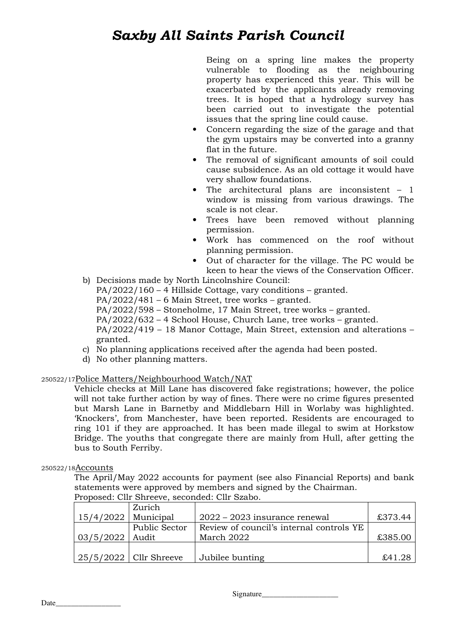Being on a spring line makes the property vulnerable to flooding as the neighbouring property has experienced this year. This will be exacerbated by the applicants already removing trees. It is hoped that a hydrology survey has been carried out to investigate the potential issues that the spring line could cause.

- Concern regarding the size of the garage and that the gym upstairs may be converted into a granny flat in the future.
- The removal of significant amounts of soil could cause subsidence. As an old cottage it would have very shallow foundations.
- The architectural plans are inconsistent  $-1$ window is missing from various drawings. The scale is not clear.
- Trees have been removed without planning permission.
- Work has commenced on the roof without planning permission.
- Out of character for the village. The PC would be keen to hear the views of the Conservation Officer.
- b) Decisions made by North Lincolnshire Council:

PA/2022/160 – 4 Hillside Cottage, vary conditions – granted.

PA/2022/481 – 6 Main Street, tree works – granted.

PA/2022/598 – Stoneholme, 17 Main Street, tree works – granted.

PA/2022/632 – 4 School House, Church Lane, tree works – granted.

PA/2022/419 – 18 Manor Cottage, Main Street, extension and alterations – granted.

- c) No planning applications received after the agenda had been posted.
- d) No other planning matters.

### 250522/17Police Matters/Neighbourhood Watch/NAT

Vehicle checks at Mill Lane has discovered fake registrations; however, the police will not take further action by way of fines. There were no crime figures presented but Marsh Lane in Barnetby and Middlebarn Hill in Worlaby was highlighted. 'Knockers', from Manchester, have been reported. Residents are encouraged to ring 101 if they are approached. It has been made illegal to swim at Horkstow Bridge. The youths that congregate there are mainly from Hull, after getting the bus to South Ferriby.

### 250522/18Accounts

The April/May 2022 accounts for payment (see also Financial Reports) and bank statements were approved by members and signed by the Chairman.

|                       | Zurich                   |                                          |         |
|-----------------------|--------------------------|------------------------------------------|---------|
| $15/4/2022$ Municipal |                          | $2022 - 2023$ insurance renewal          | £373.44 |
|                       | <b>Public Sector</b>     | Review of council's internal controls YE |         |
| $03/5/2022$   Audit   |                          | March 2022                               | £385.00 |
|                       |                          |                                          |         |
|                       | $25/5/2022$ Cllr Shreeve | Jubilee bunting                          | £41.28  |

Proposed: Cllr Shreeve, seconded: Cllr Szabo.

Signature\_\_\_\_\_\_\_\_\_\_\_\_\_\_\_\_\_\_\_\_